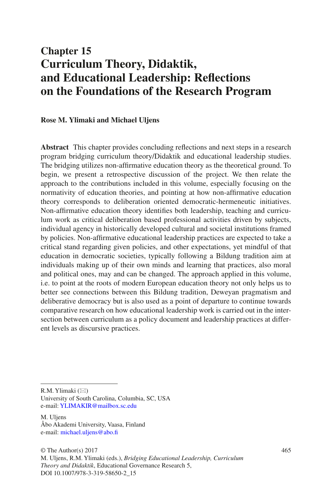## **Chapter 15 Curriculum Theory, Didaktik, and Educational Leadership: Reflections on the Foundations of the Research Program**

## **Rose M. Ylimaki and Michael Uljens**

**Abstract** This chapter provides concluding reflections and next steps in a research program bridging curriculum theory/Didaktik and educational leadership studies. The bridging utilizes non-affirmative education theory as the theoretical ground. To begin, we present a retrospective discussion of the project. We then relate the approach to the contributions included in this volume, especially focusing on the normativity of education theories, and pointing at how non-affirmative education theory corresponds to deliberation oriented democratic-hermeneutic initiatives. Non-affirmative education theory identifies both leadership, teaching and curriculum work as critical deliberation based professional activities driven by subjects, individual agency in historically developed cultural and societal institutions framed by policies. Non-affirmative educational leadership practices are expected to take a critical stand regarding given policies, and other expectations, yet mindful of that education in democratic societies, typically following a Bildung tradition aim at individuals making up of their own minds and learning that practices, also moral and political ones, may and can be changed. The approach applied in this volume, i.e. to point at the roots of modern European education theory not only helps us to better see connections between this Bildung tradition, Deweyan pragmatism and deliberative democracy but is also used as a point of departure to continue towards comparative research on how educational leadership work is carried out in the intersection between curriculum as a policy document and leadership practices at different levels as discursive practices.

R.M. Ylimaki  $(\boxtimes)$ 

M. Uljens Åbo Akademi University, Vaasa, Finland e-mail: [michael.uljens@abo.fi](mailto:michael.uljens@abo.fi)

University of South Carolina, Columbia, SC, USA e-mail: [YLIMAKIR@mailbox.sc.edu](mailto:YLIMAKIR@mailbox.sc.edu)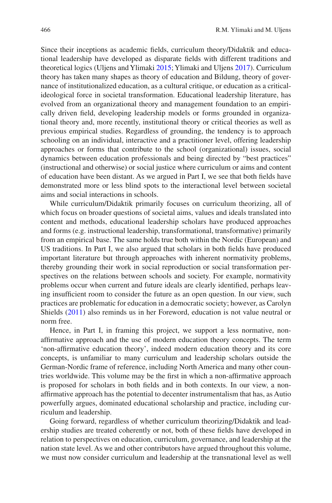Since their inceptions as academic fields, curriculum theory/Didaktik and educational leadership have developed as disparate fields with different traditions and theoretical logics (Uljens and Ylimaki [2015](#page-9-0); Ylimaki and Uljens [2017](#page-9-1)). Curriculum theory has taken many shapes as theory of education and Bildung, theory of governance of institutionalized education, as a cultural critique, or education as a criticalideological force in societal transformation. Educational leadership literature, has evolved from an organizational theory and management foundation to an empirically driven field, developing leadership models or forms grounded in organizational theory and, more recently, institutional theory or critical theories as well as previous empirical studies. Regardless of grounding, the tendency is to approach schooling on an individual, interactive and a practitioner level, offering leadership approaches or forms that contribute to the school (organizational) issues, social dynamics between education professionals and being directed by "best practices" (instructional and otherwise) or social justice where curriculum or aims and content of education have been distant. As we argued in Part I, we see that both fields have demonstrated more or less blind spots to the interactional level between societal aims and social interactions in schools.

While curriculum/Didaktik primarily focuses on curriculum theorizing, all of which focus on broader questions of societal aims, values and ideals translated into content and methods, educational leadership scholars have produced approaches and forms (e.g. instructional leadership, transformational, transformative) primarily from an empirical base. The same holds true both within the Nordic (European) and US traditions. In Part I, we also argued that scholars in both fields have produced important literature but through approaches with inherent normativity problems, thereby grounding their work in social reproduction or social transformation perspectives on the relations between schools and society. For example, normativity problems occur when current and future ideals are clearly identified, perhaps leaving insufficient room to consider the future as an open question. In our view, such practices are problematic for education in a democratic society; however, as Carolyn Shields ([2011\)](#page-9-2) also reminds us in her Foreword, education is not value neutral or norm free.

Hence, in Part I, in framing this project, we support a less normative, nonaffirmative approach and the use of modern education theory concepts. The term 'non-affirmative education theory', indeed modern education theory and its core concepts, is unfamiliar to many curriculum and leadership scholars outside the German-Nordic frame of reference, including North America and many other countries worldwide. This volume may be the first in which a non-affirmative approach is proposed for scholars in both fields and in both contexts. In our view, a nonaffirmative approach has the potential to decenter instrumentalism that has, as Autio powerfully argues, dominated educational scholarship and practice, including curriculum and leadership.

Going forward, regardless of whether curriculum theorizing/Didaktik and leadership studies are treated coherently or not, both of these fields have developed in relation to perspectives on education, curriculum, governance, and leadership at the nation state level. As we and other contributors have argued throughout this volume, we must now consider curriculum and leadership at the transnational level as well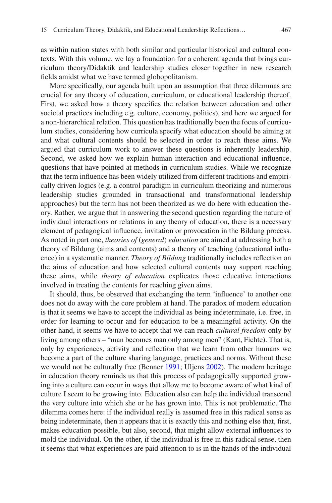as within nation states with both similar and particular historical and cultural contexts. With this volume, we lay a foundation for a coherent agenda that brings curriculum theory/Didaktik and leadership studies closer together in new research fields amidst what we have termed globopolitanism.

More specifically, our agenda built upon an assumption that three dilemmas are crucial for any theory of education, curriculum, or educational leadership thereof. First, we asked how a theory specifies the relation between education and other societal practices including e.g. culture, economy, politics), and here we argued for a non-hierarchical relation. This question has traditionally been the focus of curriculum studies, considering how curricula specify what education should be aiming at and what cultural contents should be selected in order to reach these aims. We argued that curriculum work to answer these questions is inherently leadership. Second, we asked how we explain human interaction and educational influence, questions that have pointed at methods in curriculum studies. While we recognize that the term influence has been widely utilized from different traditions and empirically driven logics (e.g. a control paradigm in curriculum theorizing and numerous leadership studies grounded in transactional and transformational leadership approaches) but the term has not been theorized as we do here with education theory. Rather, we argue that in answering the second question regarding the nature of individual interactions or relations in any theory of education, there is a necessary element of pedagogical influence, invitation or provocation in the Bildung process. As noted in part one, *theories of* (*general*) *education* are aimed at addressing both a theory of Bildung (aims and contents) and a theory of teaching (educational influence) in a systematic manner. *Theory of Bildung* traditionally includes reflection on the aims of education and how selected cultural contents may support reaching these aims, while *theory of education* explicates those educative interactions involved in treating the contents for reaching given aims.

It should, thus, be observed that exchanging the term 'influence' to another one does not do away with the core problem at hand. The paradox of modern education is that it seems we have to accept the individual as being indeterminate, i.e. free, in order for learning to occur and for education to be a meaningful activity. On the other hand, it seems we have to accept that we can reach *cultural freedom* only by living among others – "man becomes man only among men" (Kant, Fichte). That is, only by experiences, activity and reflection that we learn from other humans we become a part of the culture sharing language, practices and norms. Without these we would not be culturally free (Benner [1991;](#page-9-3) Uljens [2002](#page-9-4)). The modern heritage in education theory reminds us that this process of pedagogically supported growing into a culture can occur in ways that allow me to become aware of what kind of culture I seem to be growing into. Education also can help the individual transcend the very culture into which she or he has grown into. This is not problematic. The dilemma comes here: if the individual really is assumed free in this radical sense as being indeterminate, then it appears that it is exactly this and nothing else that, first, makes education possible, but also, second, that might allow external influences to mold the individual. On the other, if the individual is free in this radical sense, then it seems that what experiences are paid attention to is in the hands of the individual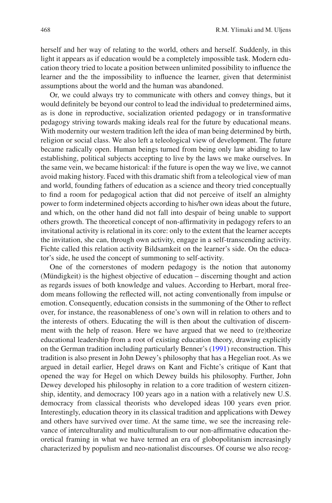herself and her way of relating to the world, others and herself. Suddenly, in this light it appears as if education would be a completely impossible task. Modern education theory tried to locate a position between unlimited possibility to influence the learner and the the impossibility to influence the learner, given that determinist assumptions about the world and the human was abandoned.

Or, we could always try to communicate with others and convey things, but it would definitely be beyond our control to lead the individual to predetermined aims, as is done in reproductive, socialization oriented pedagogy or in transformative pedagogy striving towards making ideals real for the future by educational means. With modernity our western tradition left the idea of man being determined by birth, religion or social class. We also left a teleological view of development. The future became radically open. Human beings turned from being only law abiding to law establishing, political subjects accepting to live by the laws we make ourselves. In the same vein, we became historical: if the future is open the way we live, we cannot avoid making history. Faced with this dramatic shift from a teleological view of man and world, founding fathers of education as a science and theory tried conceptually to find a room for pedagogical action that did not perceive of itself an almighty power to form indetermined objects according to his/her own ideas about the future, and which, on the other hand did not fall into despair of being unable to support others growth. The theoretical concept of non-affirmativity in pedagogy refers to an invitational activity is relational in its core: only to the extent that the learner accepts the invitation, she can, through own activity, engage in a self-transcending activity. Fichte called this relation activity Bildsamkeit on the learner's side. On the educator's side, he used the concept of summoning to self-activity.

One of the cornerstones of modern pedagogy is the notion that autonomy (Mündigkeit) is the highest objective of education – discerning thought and action as regards issues of both knowledge and values. According to Herbart, moral freedom means following the reflected will, not acting conventionally from impulse or emotion. Consequently, education consists in the summoning of the Other to reflect over, for instance, the reasonableness of one's own will in relation to others and to the interests of others. Educating the will is then about the cultivation of discernment with the help of reason. Here we have argued that we need to (re)theorize educational leadership from a root of existing education theory, drawing explicitly on the German tradition including particularly Benner's [\(1991](#page-9-3)) reconstruction. This tradition is also present in John Dewey's philosophy that has a Hegelian root. As we argued in detail earlier, Hegel draws on Kant and Fichte's critique of Kant that opened the way for Hegel on which Dewey builds his philosophy. Further, John Dewey developed his philosophy in relation to a core tradition of western citizenship, identity, and democracy 100 years ago in a nation with a relatively new U.S. democracy from classical theorists who developed ideas 100 years even prior. Interestingly, education theory in its classical tradition and applications with Dewey and others have survived over time. At the same time, we see the increasing relevance of interculturality and multiculturalism to our non-affirmative education theoretical framing in what we have termed an era of globopolitanism increasingly characterized by populism and neo-nationalist discourses. Of course we also recog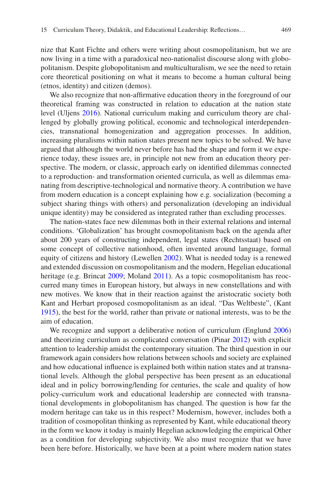nize that Kant Fichte and others were writing about cosmopolitanism, but we are now living in a time with a paradoxical neo-nationalist discourse along with globopolitanism. Despite globopolitanism and multiculturalism, we see the need to retain core theoretical positioning on what it means to become a human cultural being (etnos, identity) and citizen (demos).

We also recognize that non-affirmative education theory in the foreground of our theoretical framing was constructed in relation to education at the nation state level (Uljens [2016\)](#page-9-5). National curriculum making and curriculum theory are challenged by globally growing political, economic and technological interdependencies, transnational homogenization and aggregation processes. In addition, increasing pluralisms within nation states present new topics to be solved. We have argued that although the world never before has had the shape and form it we experience today, these issues are, in principle not new from an education theory perspective. The modern, or classic, approach early on identified dilemmas connected to a reproduction- and transformation oriented curricula, as well as dilemmas emanating from descriptive-technological and normative theory. A contribution we have from modern education is a concept explaining how e.g. socialization (becoming a subject sharing things with others) and personalization (developing an individual unique identity) may be considered as integrated rather than excluding processes.

The nation-states face new dilemmas both in their external relations and internal conditions. 'Globalization' has brought cosmopolitanism back on the agenda after about 200 years of constructing independent, legal states (Rechtsstaat) based on some concept of collective nationhood, often invented around language, formal equity of citizens and history (Lewellen [2002\)](#page-9-6). What is needed today is a renewed and extended discussion on cosmopolitanism and the modern, Hegelian educational heritage (e.g. Brincat [2009;](#page-9-7) Moland [2011](#page-9-8)). As a topic cosmopolitanism has reoccurred many times in European history, but always in new constellations and with new motives. We know that in their reaction against the aristocratic society both Kant and Herbart proposed cosmopolitanism as an ideal. "Das Weltbeste", (Kant [1915\)](#page-9-9), the best for the world, rather than private or national interests, was to be the aim of education.

We recognize and support a deliberative notion of curriculum (Englund [2006](#page-9-10)) and theorizing curriculum as complicated conversation (Pinar [2012\)](#page-9-11) with explicit attention to leadership amidst the contemporary situation. The third question in our framework again considers how relations between schools and society are explained and how educational influence is explained both within nation states and at transnational levels. Although the global perspective has been present as an educational ideal and in policy borrowing/lending for centuries, the scale and quality of how policy-curriculum work and educational leadership are connected with transnational developments in globopolitanism has changed. The question is how far the modern heritage can take us in this respect? Modernism, however, includes both a tradition of cosmopolitan thinking as represented by Kant, while educational theory in the form we know it today is mainly Hegelian acknowledging the empirical Other as a condition for developing subjectivity. We also must recognize that we have been here before. Historically, we have been at a point where modern nation states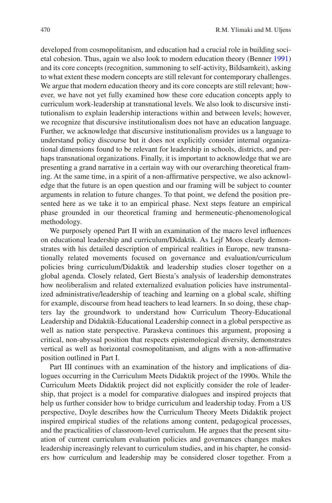developed from cosmopolitanism, and education had a crucial role in building societal cohesion. Thus, again we also look to modern education theory (Benner [1991](#page-9-3)) and its core concepts (recognition, summoning to self-activity, Bildsamkeit), asking to what extent these modern concepts are still relevant for contemporary challenges. We argue that modern education theory and its core concepts are still relevant; however, we have not yet fully examined how these core education concepts apply to curriculum work-leadership at transnational levels. We also look to discursive institutionalism to explain leadership interactions within and between levels; however, we recognize that discursive institutionalism does not have an education language. Further, we acknowledge that discursive institutionalism provides us a language to understand policy discourse but it does not explicitly consider internal organizational dimensions found to be relevant for leadership in schools, districts, and perhaps transnational organizations. Finally, it is important to acknowledge that we are presenting a grand narrative in a certain way with our overarching theoretical framing. At the same time, in a spirit of a non-affirmative perspective, we also acknowledge that the future is an open question and our framing will be subject to counter arguments in relation to future changes. To that point, we defend the position presented here as we take it to an empirical phase. Next steps feature an empirical phase grounded in our theoretical framing and hermeneutic-phenomenological methodology.

We purposely opened Part II with an examination of the macro level influences on educational leadership and curriculum/Didaktik. As Lejf Moos clearly demonstrates with his detailed description of empirical realities in Europe, new transnationally related movements focused on governance and evaluation/curriculum policies bring curriculum/Didaktik and leadership studies closer together on a global agenda. Closely related, Gert Biesta's analysis of leadership demonstrates how neoliberalism and related externalized evaluation policies have instrumentalized administrative/leadership of teaching and learning on a global scale, shifting for example, discourse from head teachers to lead learners. In so doing, these chapters lay the groundwork to understand how Curriculum Theory-Educational Leadership and Didaktik-Educational Leadership connect in a global perspective as well as nation state perspective. Paraskeva continues this argument, proposing a critical, non-abyssal position that respects epistemological diversity, demonstrates vertical as well as horizontal cosmopolitanism, and aligns with a non-affirmative position outlined in Part I.

Part III continues with an examination of the history and implications of dialogues occurring in the Curriculum Meets Didaktik project of the 1990s. While the Curriculum Meets Didaktik project did not explicitly consider the role of leadership, that project is a model for comparative dialogues and inspired projects that help us further consider how to bridge curriculum and leadership today. From a US perspective, Doyle describes how the Curriculum Theory Meets Didaktik project inspired empirical studies of the relations among content, pedagogical processes, and the practicalities of classroom-level curriculum. He argues that the present situation of current curriculum evaluation policies and governances changes makes leadership increasingly relevant to curriculum studies, and in his chapter, he considers how curriculum and leadership may be considered closer together. From a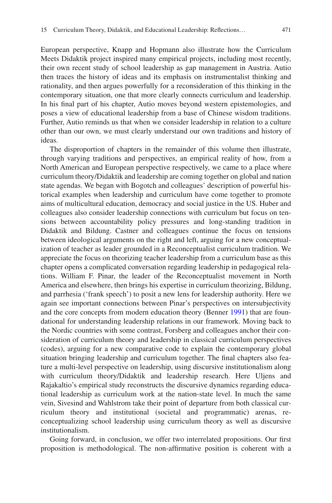European perspective, Knapp and Hopmann also illustrate how the Curriculum Meets Didaktik project inspired many empirical projects, including most recently, their own recent study of school leadership as gap management in Austria. Autio then traces the history of ideas and its emphasis on instrumentalist thinking and rationality, and then argues powerfully for a reconsideration of this thinking in the contemporary situation, one that more clearly connects curriculum and leadership. In his final part of his chapter, Autio moves beyond western epistemologies, and poses a view of educational leadership from a base of Chinese wisdom traditions. Further, Autio reminds us that when we consider leadership in relation to a culture other than our own, we must clearly understand our own traditions and history of ideas.

The disproportion of chapters in the remainder of this volume then illustrate, through varying traditions and perspectives, an empirical reality of how, from a North American and European perspective respectively, we came to a place where curriculum theory/Didaktik and leadership are coming together on global and nation state agendas. We began with Bogotch and colleagues' description of powerful historical examples when leadership and curriculum have come together to promote aims of multicultural education, democracy and social justice in the US. Huber and colleagues also consider leadership connections with curriculum but focus on tensions between accountability policy pressures and long-standing tradition in Didaktik and Bildung. Castner and colleagues continue the focus on tensions between ideological arguments on the right and left, arguing for a new conceptualization of teacher as leader grounded in a Reconceptualist curriculum tradition. We appreciate the focus on theorizing teacher leadership from a curriculum base as this chapter opens a complicated conversation regarding leadership in pedagogical relations. William F. Pinar, the leader of the Reconceptualist movement in North America and elsewhere, then brings his expertise in curriculum theorizing, Bildung, and parrhesia ('frank speech') to posit a new lens for leadership authority. Here we again see important connections between Pinar's perspectives on intersubjectivity and the core concepts from modern education theory (Benner [1991\)](#page-9-3) that are foundational for understanding leadership relations in our framework. Moving back to the Nordic countries with some contrast, Forsberg and colleagues anchor their consideration of curriculum theory and leadership in classical curriculum perspectives (codes), arguing for a new comparative code to explain the contemporary global situation bringing leadership and curriculum together. The final chapters also feature a multi-level perspective on leadership, using discursive institutionalism along with curriculum theory/Didaktik and leadership research. Here Uljens and Rajakaltio's empirical study reconstructs the discursive dynamics regarding educational leadership as curriculum work at the nation-state level. In much the same vein, Sivesind and Wahlstrom take their point of departure from both classical curriculum theory and institutional (societal and programmatic) arenas, reconceptualizing school leadership using curriculum theory as well as discursive institutionalism.

Going forward, in conclusion, we offer two interrelated propositions. Our first proposition is methodological. The non-affirmative position is coherent with a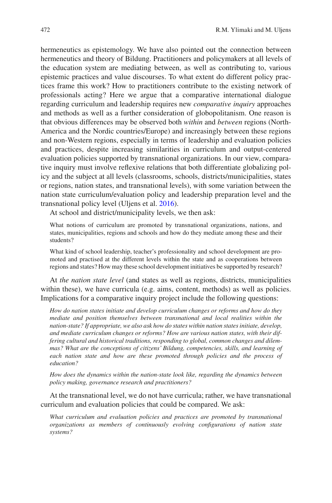hermeneutics as epistemology. We have also pointed out the connection between hermeneutics and theory of Bildung. Practitioners and policymakers at all levels of the education system are mediating between, as well as contributing to, various epistemic practices and value discourses. To what extent do different policy practices frame this work? How to practitioners contribute to the existing network of professionals acting? Here we argue that a comparative international dialogue regarding curriculum and leadership requires new *comparative inquiry* approaches and methods as well as a further consideration of globopolitanism. One reason is that obvious differences may be observed both *within* and *between* regions (North-America and the Nordic countries/Europe) and increasingly between these regions and non-Western regions, especially in terms of leadership and evaluation policies and practices, despite increasing similarities in curriculum and output-centered evaluation policies supported by transnational organizations. In our view, comparative inquiry must involve reflexive relations that both differentiate globalizing policy and the subject at all levels (classrooms, schools, districts/municipalities, states or regions, nation states, and transnational levels), with some variation between the nation state curriculum/evaluation policy and leadership preparation level and the transnational policy level (Uljens et al. [2016\)](#page-9-12).

At school and district/municipality levels, we then ask:

What notions of curriculum are promoted by transnational organizations, nations, and states, municipalities, regions and schools and how do they mediate among these and their students?

What kind of school leadership, teacher's professionality and school development are promoted and practised at the different levels within the state and as cooperations between regions and states? How may these school development initiatives be supported by research?

At *the nation state level* (and states as well as regions, districts, municipalities within these), we have curricula (e.g. aims, content, methods) as well as policies. Implications for a comparative inquiry project include the following questions:

*How do nation states initiate and develop curriculum changes or reforms and how do they mediate and position themselves between transnational and local realities within the nation-state? If appropriate, we also ask how do states within nation states initiate, develop, and mediate curriculum changes or reforms? How are various nation states, with their differing cultural and historical traditions, responding to global, common changes and dilemmas? What are the conceptions of citizens' Bildung, competencies, skills, and learning of each nation state and how are these promoted through policies and the process of education?*

*How does the dynamics within the nation-state look like, regarding the dynamics between policy making, governance research and practitioners?*

At the transnational level, we do not have curricula; rather, we have transnational curriculum and evaluation policies that could be compared. We ask:

What curriculum and evaluation policies and practices are promoted by transnational *organizations as members of continuously evolving configurations of nation state systems?*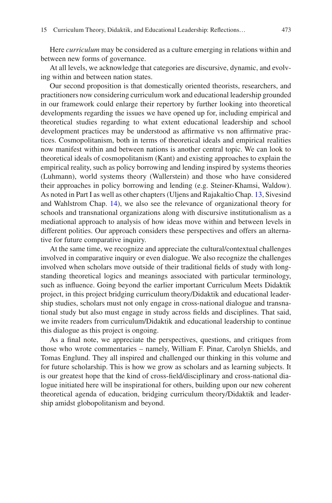Here *curriculum* may be considered as a culture emerging in relations within and between new forms of governance.

At all levels, we acknowledge that categories are discursive, dynamic, and evolving within and between nation states.

Our second proposition is that domestically oriented theorists, researchers, and practitioners now considering curriculum work and educational leadership grounded in our framework could enlarge their repertory by further looking into theoretical developments regarding the issues we have opened up for, including empirical and theoretical studies regarding to what extent educational leadership and school development practices may be understood as affirmative vs non affirmative practices. Cosmopolitanism, both in terms of theoretical ideals and empirical realities now manifest within and between nations is another central topic. We can look to theoretical ideals of cosmopolitanism (Kant) and existing approaches to explain the empirical reality, such as policy borrowing and lending inspired by systems theories (Luhmann), world systems theory (Wallerstein) and those who have considered their approaches in policy borrowing and lending (e.g. Steiner-Khamsi, Waldow). As noted in Part I as well as other chapters (Uljens and Rajakaltio Chap. [13](https://doi.org/10.1007/978-3-319-58650-2_13), Sivesind and Wahlstrom Chap. [14\)](https://doi.org/10.1007/978-3-319-58650-2_14), we also see the relevance of organizational theory for schools and transnational organizations along with discursive institutionalism as a mediational approach to analysis of how ideas move within and between levels in different polities. Our approach considers these perspectives and offers an alternative for future comparative inquiry.

At the same time, we recognize and appreciate the cultural/contextual challenges involved in comparative inquiry or even dialogue. We also recognize the challenges involved when scholars move outside of their traditional fields of study with longstanding theoretical logics and meanings associated with particular terminology, such as influence. Going beyond the earlier important Curriculum Meets Didaktik project, in this project bridging curriculum theory/Didaktik and educational leadership studies, scholars must not only engage in cross-national dialogue and transnational study but also must engage in study across fields and disciplines. That said, we invite readers from curriculum/Didaktik and educational leadership to continue this dialogue as this project is ongoing.

As a final note, we appreciate the perspectives, questions, and critiques from those who wrote commentaries – namely, William F. Pinar, Carolyn Shields, and Tomas Englund. They all inspired and challenged our thinking in this volume and for future scholarship. This is how we grow as scholars and as learning subjects. It is our greatest hope that the kind of cross-field/disciplinary and cross-national dialogue initiated here will be inspirational for others, building upon our new coherent theoretical agenda of education, bridging curriculum theory/Didaktik and leadership amidst globopolitanism and beyond.